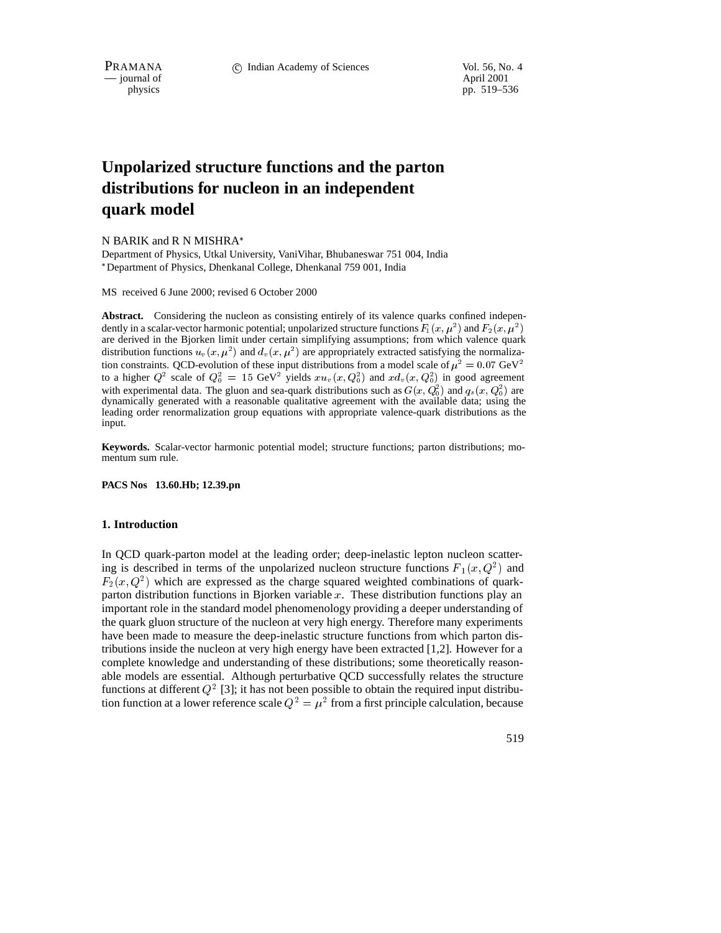$\frac{1}{2}$  journal of physics

pp. 519–536

# **Unpolarized structure functions and the parton distributions for nucleon in an independent quark model**

# N BARIK and R N MISHRA

Department of Physics, Utkal University, VaniVihar, Bhubaneswar 751 004, India Department of Physics, Dhenkanal College, Dhenkanal 759 001, India

MS received 6 June 2000; revised 6 October 2000

**Abstract.** Considering the nucleon as consisting entirely of its valence quarks confined independently in a scalar-vector harmonic potential; unpolarized structure functions  $F_1(x,\mu^2)$  and  $F_2(x,\mu^2)$  $\mathbf{I}$  , and the set of  $\mathbf{I}$ are derived in the Bjorken limit under certain simplifying assumptions; from which valence quark distribution functions  $u_v(x,\mu^2)$  and  $d_v(x,\mu^2)$  are appropriately extracted satisfying the normalization constraints. QCD-evolution of these input distributions from a model scale of  $\mu^2 = 0.07$  GeV<sup>2</sup> to a higher  $Q^2$  scale of  $Q_0^2 = 15$  GeV<sup>2</sup> yields  $x u_v(x, Q_0^2)$  and  $x d_v(x, Q_0^2)$  in good agreement with experimental data. The gluon and sea-quark distributions such as  $G(x, Q_0^2)$  and  $q_s(x, Q_0^2)$  are dynamically generated with a reasonable qualitative agreement with the available data; using the leading order renormalization group equations with appropriate valence-quark distributions as the input.

**Keywords.** Scalar-vector harmonic potential model; structure functions; parton distributions; momentum sum rule.

**PACS Nos 13.60.Hb; 12.39.pn**

# **1. Introduction**

In QCD quark-parton model at the leading order; deep-inelastic lepton nucleon scattering is described in terms of the unpolarized nucleon structure functions  $F_1(x,Q^2)$  and  $F_2(x,Q^2)$  which are expressed as the charge squared weighted combinations of quarkparton distribution functions in Bjorken variable  $x$ . These distribution functions play an important role in the standard model phenomenology providing a deeper understanding of the quark gluon structure of the nucleon at very high energy. Therefore many experiments have been made to measure the deep-inelastic structure functions from which parton distributions inside the nucleon at very high energy have been extracted [1,2]. However for a complete knowledge and understanding of these distributions; some theoretically reasonable models are essential. Although perturbative QCD successfully relates the structure functions at different  $Q^2$  [3]; it has not been possible to obtain the required input distribution function at a lower reference scale  $Q^2 = \mu^2$  from a first principle calculation, because

519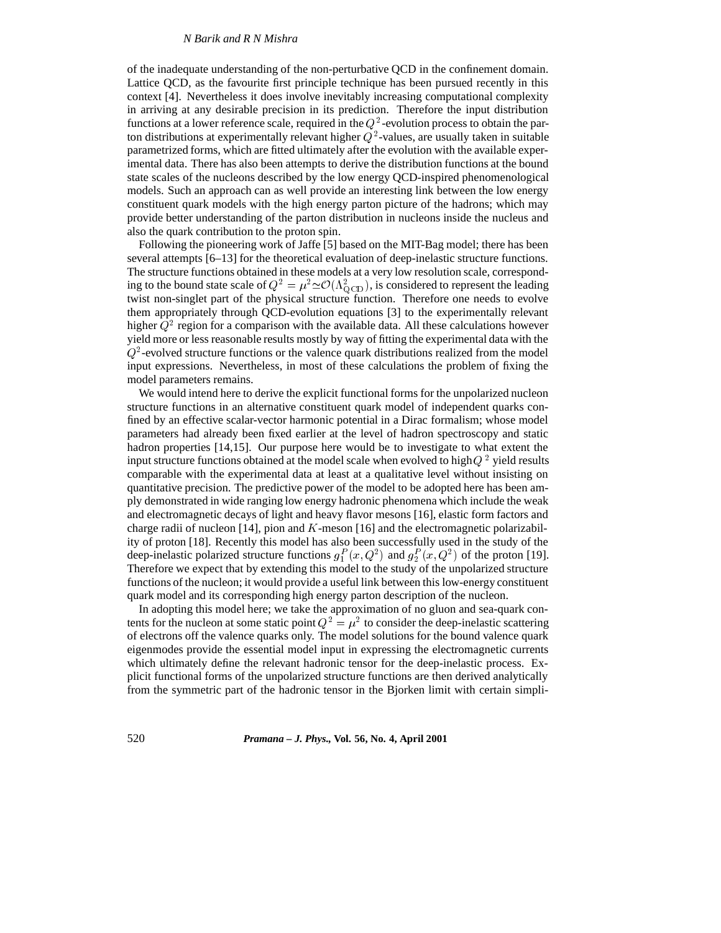of the inadequate understanding of the non-perturbative QCD in the confinement domain. Lattice QCD, as the favourite first principle technique has been pursued recently in this context [4]. Nevertheless it does involve inevitably increasing computational complexity in arriving at any desirable precision in its prediction. Therefore the input distribution functions at a lower reference scale, required in the  $Q^2$ -evolution process to obtain the parton distributions at experimentally relevant higher  $Q^2$ -values, are usually taken in suitable parametrized forms, which are fitted ultimately after the evolution with the available experimental data. There has also been attempts to derive the distribution functions at the bound state scales of the nucleons described by the low energy QCD-inspired phenomenological models. Such an approach can as well provide an interesting link between the low energy constituent quark models with the high energy parton picture of the hadrons; which may provide better understanding of the parton distribution in nucleons inside the nucleus and also the quark contribution to the proton spin.

Following the pioneering work of Jaffe [5] based on the MIT-Bag model; there has been several attempts [6–13] for the theoretical evaluation of deep-inelastic structure functions. The structure functions obtained in these models at a very low resolution scale, corresponding to the bound state scale of  $Q^2 = \mu^2 \simeq \mathcal{O}(\Lambda_{\text{OCD}}^2)$ , is considered to represent the leading twist non-singlet part of the physical structure function. Therefore one needs to evolve them appropriately through QCD-evolution equations [3] to the experimentally relevant higher  $Q^2$  region for a comparison with the available data. All these calculations however yield more or less reasonable results mostly by way of fitting the experimental data with the  $Q^2$ -evolved structure functions or the valence quark distributions realized from the model input expressions. Nevertheless, in most of these calculations the problem of fixing the model parameters remains.

We would intend here to derive the explicit functional forms for the unpolarized nucleon structure functions in an alternative constituent quark model of independent quarks confined by an effective scalar-vector harmonic potential in a Dirac formalism; whose model parameters had already been fixed earlier at the level of hadron spectroscopy and static hadron properties [14,15]. Our purpose here would be to investigate to what extent the input structure functions obtained at the model scale when evolved to high  $Q^2$  yield results comparable with the experimental data at least at a qualitative level without insisting on quantitative precision. The predictive power of the model to be adopted here has been amply demonstrated in wide ranging low energy hadronic phenomena which include the weak and electromagnetic decays of light and heavy flavor mesons [16], elastic form factors and charge radii of nucleon  $[14]$ , pion and K-meson  $[16]$  and the electromagnetic polarizability of proton [18]. Recently this model has also been successfully used in the study of the deep-inelastic polarized structure functions  $g_1^P(x,Q^2)$  and  $g_2^P(x,Q^2)$  of the proton [19]. Therefore we expect that by extending this model to the study of the unpolarized structure functions of the nucleon; it would provide a useful link between this low-energy constituent quark model and its corresponding high energy parton description of the nucleon.

In adopting this model here; we take the approximation of no gluon and sea-quark contents for the nucleon at some static point  $Q^2 = \mu^2$  to consider the deep-inelastic scattering of electrons off the valence quarks only. The model solutions for the bound valence quark eigenmodes provide the essential model input in expressing the electromagnetic currents which ultimately define the relevant hadronic tensor for the deep-inelastic process. Explicit functional forms of the unpolarized structure functions are then derived analytically from the symmetric part of the hadronic tensor in the Bjorken limit with certain simpli-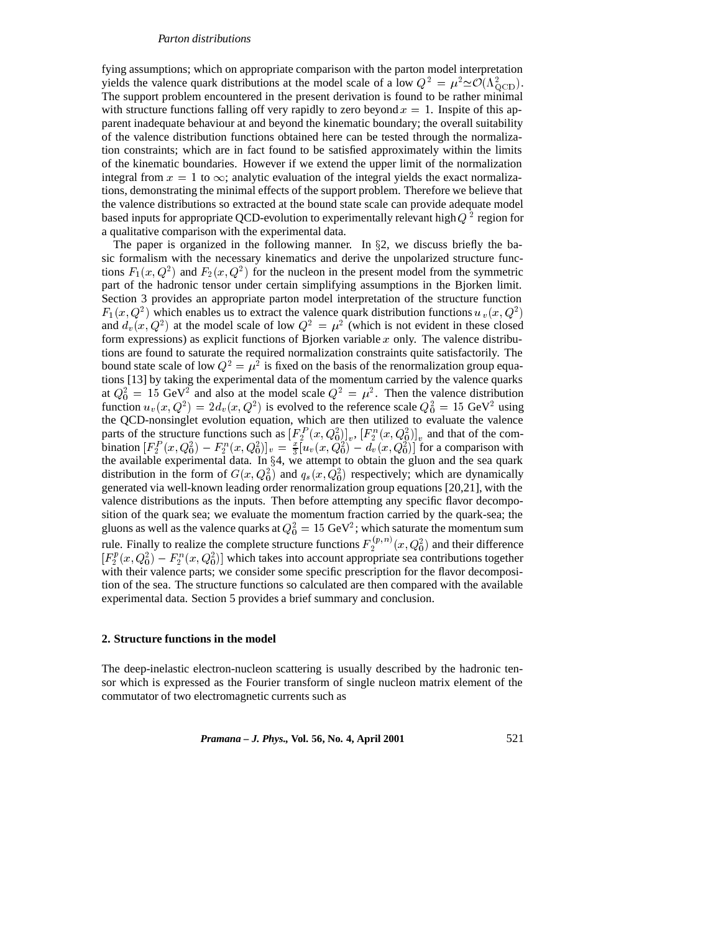fying assumptions; which on appropriate comparison with the parton model interpretation yields the valence quark distributions at the model scale of a low  $Q^2 = \mu^2 \simeq \mathcal{O}(\Lambda_{\text{QCD}}^2)$ . The support problem encountered in the present derivation is found to be rather minimal with structure functions falling off very rapidly to zero beyond  $x = 1$ . Inspite of this apparent inadequate behaviour at and beyond the kinematic boundary; the overall suitability of the valence distribution functions obtained here can be tested through the normalization constraints; which are in fact found to be satisfied approximately within the limits of the kinematic boundaries. However if we extend the upper limit of the normalization integral from  $x = 1$  to  $\infty$ ; analytic evaluation of the integral yields the exact normalizations, demonstrating the minimal effects of the support problem. Therefore we believe that the valence distributions so extracted at the bound state scale can provide adequate model based inputs for appropriate QCD-evolution to experimentally relevant high  $Q^2$  region for a qualitative comparison with the experimental data.

The paper is organized in the following manner. In  $\S2$ , we discuss briefly the basic formalism with the necessary kinematics and derive the unpolarized structure functions  $F_1(x, Q^2)$  and  $F_2(x, Q^2)$  for the nucleon in the present model from the symmetric part of the hadronic tensor under certain simplifying assumptions in the Bjorken limit. Section 3 provides an appropriate parton model interpretation of the structure function  $F_1(x,Q^2)$  which enables us to extract the valence quark distribution functions  $u_y(x,Q^2)$ and  $d_v(x, Q^2)$  at the model scale of low  $Q^2 = \mu^2$  (which is not evident in these closed form expressions) as explicit functions of Bjorken variable  $x$  only. The valence distributions are found to saturate the required normalization constraints quite satisfactorily. The bound state scale of low  $Q^2 = \mu^2$  is fixed on the basis of the renormalization group equations [13] by taking the experimental data of the momentum carried by the valence quarks at  $Q_0^2 = 15$  GeV<sup>2</sup> and also at the model scale  $Q^2 = \mu^2$ . Then the valence distribution function  $u_v(x, Q^2) = 2d_v(x, Q^2)$  is evolved to the reference scale  $Q_0^2 = 15 \text{ GeV}^2$  using the QCD-nonsinglet evolution equation, which are then utilized to evaluate the valence parts of the structure functions such as  $[F_2^P(x,Q_0^2)]_v$ ,  $[F_2^n(x,Q_0^2)]_v$  and that of the combination  $[F_2^P(x,Q_0^2) - F_2^n(x,Q_0^2)]_v = \frac{x}{3} [u_v(x,Q_0^2) - d_v(x,Q_0^2)]$  for a comparison with the available experimental data. In  $\S 4$ , we attempt to obtain the gluon and the sea quark distribution in the form of  $G(x,Q_0^2)$  and  $q_s(x,Q_0^2)$  respectively; which are dynamically generated via well-known leading order renormalization group equations [20,21], with the valence distributions as the inputs. Then before attempting any specific flavor decomposition of the quark sea; we evaluate the momentum fraction carried by the quark-sea; the gluons as well as the valence quarks at  $Q_0^2=15~{\rm GeV^2};$  which saturate the momentum sum rule. Finally to realize the complete structure functions  $F_2^{(p,n)}(x,Q_0^2)$  and their difference  $[F_2^p(x,Q_0^2) - F_2^n(x,Q_0^2)]$  which takes into account appropriate sea contributions together with their valence parts; we consider some specific prescription for the flavor decomposition of the sea. The structure functions so calculated are then compared with the available experimental data. Section 5 provides a brief summary and conclusion.

# **2. Structure functions in the model**

The deep-inelastic electron-nucleon scattering is usually described by the hadronic tensor which is expressed as the Fourier transform of single nucleon matrix element of the commutator of two electromagnetic currents such as

*Pramana – J. Phys.,* **Vol. 56, No. 4, April 2001** 521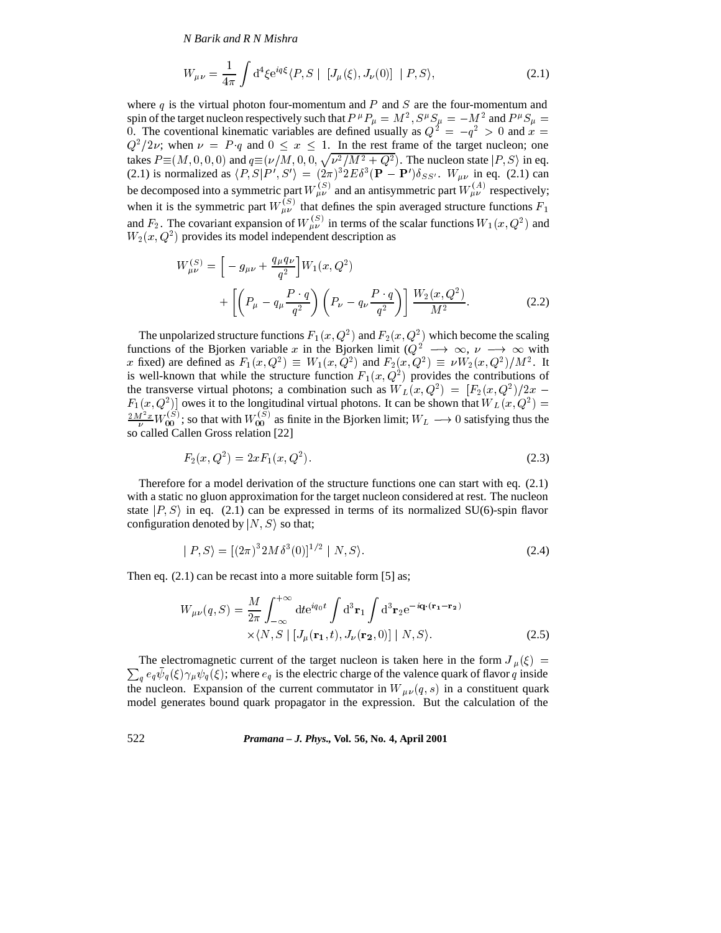$$
W_{\mu\nu} = \frac{1}{4\pi} \int d^4 \xi e^{iq\xi} \langle P, S \mid [J_{\mu}(\xi), J_{\nu}(0)] \mid P, S \rangle,
$$
 (2.1)

where q is the virtual photon four-momentum and P and S are the four-momentum and spin of the target nucleon respectively such that  $P^{\mu}P_{\mu} = M^2$ ,  $S^{\mu}S_{\mu} = -M^2$  and  $P^{\mu}S_{\mu} =$ 0. The coventional kinematic variables are defined usually as  $Q^2 = -q^2 > 0$  and  $x =$  $Q^2/2\nu$ ; when  $\nu = P q$  and  $0 \le x \le 1$ . In the rest frame of the target nucleon; one takes  $P \equiv (M, 0, 0, 0)$  and  $q \equiv (\nu/M, 0, 0, \sqrt{\nu^2/M^2 + Q^2})$ . The nucleon state  $|P, S\rangle$  in eq. (2.1) is normalized as  $\langle P, S | P', S' \rangle = (2\pi)^3 2E \delta^3 (\mathbf{P} - \mathbf{P}') \delta_{SS'}$ .  $W_{\mu\nu}$  in eq. (2.1) can be decomposed into a symmetric part  $W_{\mu\nu}^{(S)}$  and an antisymmetric part  $W_{\mu\nu}^{(A)}$  respectively; when it is the symmetric part  $W_{\mu\nu}^{(s)}$  that defines the spin averaged structure functions  $F_1$ and  $F_2$ . The covariant expansion of  $W_{\mu\nu}^{(S)}$  in terms of the scalar functions  $W_1(x,Q^2)$  and  $W_2(x,Q^2)$  provides its model independent description as

$$
W_{\mu\nu}^{(S)} = \left[ -g_{\mu\nu} + \frac{q_{\mu}q_{\nu}}{q^2} \right] W_1(x, Q^2)
$$
  
+ 
$$
\left[ \left( P_{\mu} - q_{\mu} \frac{P \cdot q}{q^2} \right) \left( P_{\nu} - q_{\nu} \frac{P \cdot q}{q^2} \right) \right] \frac{W_2(x, Q^2)}{M^2}.
$$
 (2.2)

The unpolarized structure functions  $F_1(x,Q^2)$  and  $F_2(x,Q^2)$  which become the scaling functions of the Bjorken variable x in the Bjorken limit  $(Q^2 \to \infty, \nu \to \infty$  with x fixed) are defined as  $F_1(x,Q^2) \equiv W_1(x,Q^2)$  and  $F_2(x,Q^2) \equiv \nu W_2(x,Q^2)/M^2$ . It is well-known that while the structure function  $F_1(x,Q^2)$  provides the contributions of the transverse virtual photons; a combination such as  $W_L(x,Q^2) = [F_2(x,Q^2)/2x F_1(x, Q^2)$  owes it to the longitudinal virtual photons. It can be shown that  $W_L(x, Q^2) = \frac{2M^2 x}{\nu} W_{00}^{(S)}$ ; so that with  $W_{00}^{(S)}$  as finite in the Bjorken limit;  $W_L \longrightarrow 0$  satisfying thus the so called Callen Gross relation [22]

$$
F_2(x, Q^2) = 2xF_1(x, Q^2). \tag{2.3}
$$

Therefore for a model derivation of the structure functions one can start with eq. (2.1) with a static no gluon approximation for the target nucleon considered at rest. The nucleon state  $|P, S\rangle$  in eq. (2.1) can be expressed in terms of its normalized SU(6)-spin flavor configuration denoted by  $|N, S\rangle$  so that;

$$
| P, S \rangle = [(2\pi)^{3} 2M \delta^{3}(0)]^{1/2} | N, S \rangle.
$$
 (2.4)

Then eq.  $(2.1)$  can be recast into a more suitable form [5] as;

$$
W_{\mu\nu}(q, S) = \frac{M}{2\pi} \int_{-\infty}^{+\infty} dt e^{iq_0 t} \int d^3 \mathbf{r}_1 \int d^3 \mathbf{r}_2 e^{-i\mathbf{q} \cdot (\mathbf{r}_1 - \mathbf{r}_2)} \times \langle N, S \mid [J_{\mu}(\mathbf{r}_1, t), J_{\nu}(\mathbf{r}_2, 0)] \mid N, S \rangle.
$$
 (2.5)

 $\sum_{q} e_q \psi_q(\xi) \gamma_\mu \psi_q(\xi)$ ; where  $e_q$  is the electric charge of the valence quark of flavor q inside The electromagnetic current of the target nucleon is taken here in the form  $J_{\mu}(\xi)$  = the nucleon. Expansion of the current commutator in  $W_{\mu\nu}(q,s)$  in a constituent quark model generates bound quark propagator in the expression. But the calculation of the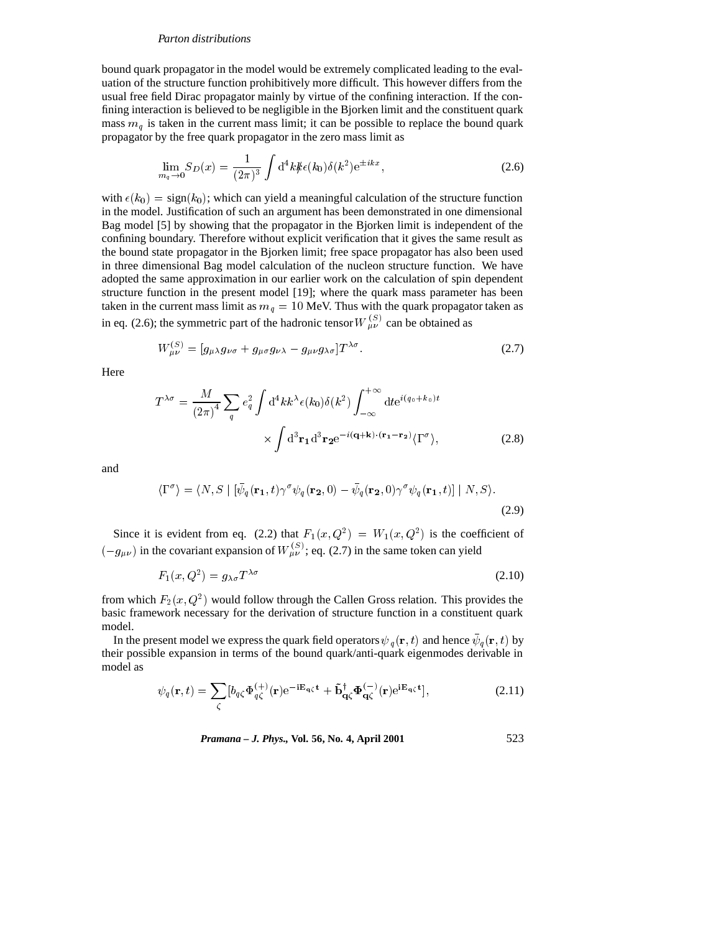bound quark propagator in the model would be extremely complicated leading to the evaluation of the structure function prohibitively more difficult. This however differs from the usual free field Dirac propagator mainly by virtue of the confining interaction. If the confining interaction is believed to be negligible in the Bjorken limit and the constituent quark mass  $m<sub>a</sub>$  is taken in the current mass limit; it can be possible to replace the bound quark propagator by the free quark propagator in the zero mass limit as

$$
\lim_{m_q \to 0} S_D(x) = \frac{1}{(2\pi)^3} \int d^4k \, k \epsilon(k_0) \delta(k^2) e^{\pm ikx}, \tag{2.6}
$$

with  $\epsilon(k_0)$  = sign(k<sub>0</sub>); which can yield a meaningful calculation of the structure function in the model. Justification of such an argument has been demonstrated in one dimensional Bag model [5] by showing that the propagator in the Bjorken limit is independent of the confining boundary. Therefore without explicit verification that it gives the same result as the bound state propagator in the Bjorken limit; free space propagator has also been used in three dimensional Bag model calculation of the nucleon structure function. We have adopted the same approximation in our earlier work on the calculation of spin dependent structure function in the present model [19]; where the quark mass parameter has been taken in the current mass limit as  $m_q = 10$  MeV. Thus with the quark propagator taken as in eq. (2.6); the symmetric part of the hadronic tensor  $W_{\mu\nu}^{(S)}$  can be obtained as

$$
W^{(S)}_{\mu\nu} = [g_{\mu\lambda}g_{\nu\sigma} + g_{\mu\sigma}g_{\nu\lambda} - g_{\mu\nu}g_{\lambda\sigma}]T^{\lambda\sigma}.
$$
 (2.7)

Here

$$
T^{\lambda\sigma} = \frac{M}{(2\pi)^4} \sum_{q} e_q^2 \int d^4k k^{\lambda} \epsilon(k_0) \delta(k^2) \int_{-\infty}^{+\infty} dt e^{i(q_0 + k_0)t} \times \int d^3 \mathbf{r}_1 d^3 \mathbf{r}_2 e^{-i(\mathbf{q} + \mathbf{k}) \cdot (\mathbf{r}_1 - \mathbf{r}_2)} \langle \Gamma^{\sigma} \rangle,
$$
 (2.8)

and

$$
\langle \Gamma^{\sigma} \rangle = \langle N, S \mid [\bar{\psi}_q(\mathbf{r}_1, t) \gamma^{\sigma} \psi_q(\mathbf{r}_2, 0) - \bar{\psi}_q(\mathbf{r}_2, 0) \gamma^{\sigma} \psi_q(\mathbf{r}_1, t)] \mid N, S \rangle.
$$
\n(2.9)

Since it is evident from eq. (2.2) that  $F_1(x,Q^2) = W_1(x,Q^2)$  is the coefficient of  $(-g_{\mu\nu})$  in the covariant expansion of  $W_{\mu\nu}^{(S)}$ ; eq. (2.7) in the same token can yield

$$
F_1(x, Q^2) = g_{\lambda\sigma} T^{\lambda\sigma} \tag{2.10}
$$

from which  $F_2(x,Q^2)$  would follow through the Callen Gross relation. This provides the basic framework necessary for the derivation of structure function in a constituent quark model.

In the present model we express the quark field operators  $\psi_g(\mathbf{r}, t)$  and hence  $\psi_g(\mathbf{r}, t)$  by their possible expansion in terms of the bound quark/anti-quark eigenmodes derivable in model as

$$
\psi_q(\mathbf{r},t) = \sum_{\zeta} \left[ b_{q\zeta} \Phi_{q\zeta}^{(+)}(\mathbf{r}) e^{-i\mathbf{E}_{\mathbf{q}\zeta}\mathbf{t}} + \tilde{\mathbf{b}}_{\mathbf{q}\zeta}^{\dagger} \Phi_{\mathbf{q}\zeta}^{(-)}(\mathbf{r}) e^{i\mathbf{E}_{\mathbf{q}\zeta}\mathbf{t}} \right],\tag{2.11}
$$

*Pramana – J. Phys.,* **Vol. 56, No. 4, April 2001** 523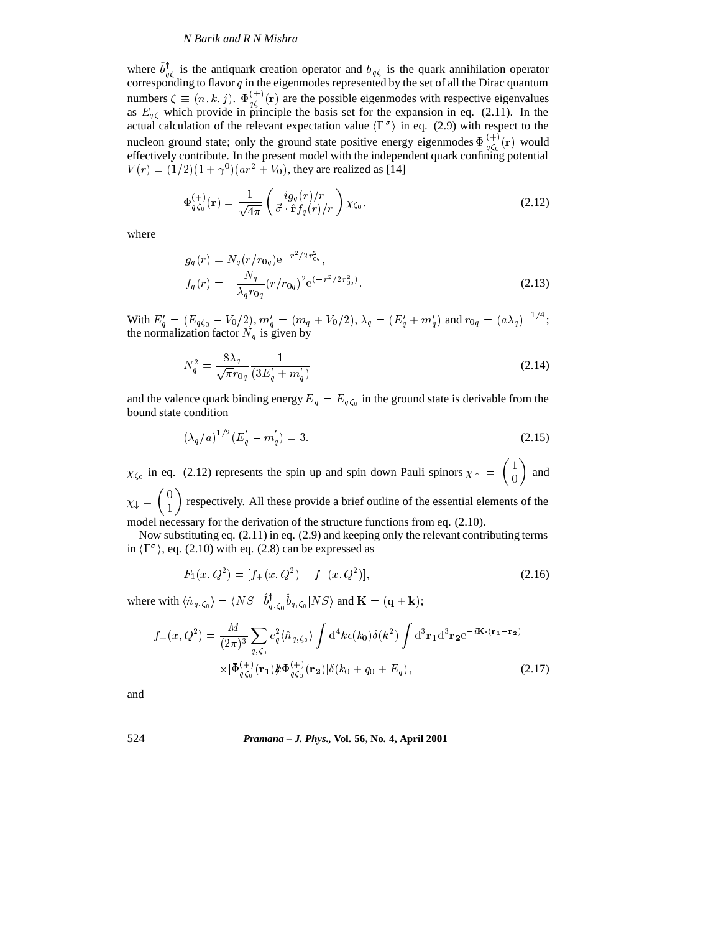where  $b_{\alpha\beta}^{\dagger}$  is the antiquark creation operator and  $b_{q\zeta}$  is the quark annihilation operator corresponding to flavor  $q$  in the eigenmodes represented by the set of all the Dirac quantum numbers  $\zeta \equiv (n, k, j)$ .  $\Phi_{a\zeta}^{(\pm)}(\mathbf{r})$  are the possible eigenmodes with respective eigenvalues as  $E_{q\zeta}$  which provide in principle the basis set for the expansion in eq. (2.11). In the actual calculation of the relevant expectation value  $\langle \Gamma^{\sigma} \rangle$  in eq. (2.9) with respect to the nucleon ground state; only the ground state positive energy eigenmodes  $\Phi_{q\zeta_0}^{(+)}(\mathbf{r})$  would effectively contribute. In the present model with the independent quark confining potential  $V(r) = (1/2)(1 + \gamma^0)(ar^2 + V_0)$ , they are realized as [14]

$$
\Phi_{q\zeta_0}^{(+)}(\mathbf{r}) = \frac{1}{\sqrt{4\pi}} \begin{pmatrix} ig_q(r)/r \\ \vec{\sigma} \cdot \hat{\mathbf{r}} f_q(r)/r \end{pmatrix} \chi_{\zeta_0},\tag{2.12}
$$

where

$$
g_q(r) = N_q(r/r_{0q})e^{-r^2/2r_{0q}^2},
$$
  
\n
$$
f_q(r) = -\frac{N_q}{\lambda_q r_{0q}}(r/r_{0q})^2 e^{(-r^2/2r_{0q}^2)}.
$$
\n(2.13)

With  $E_q' = (E_{q\zeta_0} - V_0/2), m_q' = (m_q + V_0/2), \lambda_q = (E_q' + m_q')$  and  $r_{0q} = (\alpha\lambda_q)^{-1/4};$ the normalization factor  $N_q$  is given by

$$
N_q^2 = \frac{8\lambda_q}{\sqrt{\pi}r_{0q}} \frac{1}{(3E_q' + m_q')} \tag{2.14}
$$

and the valence quark binding energy  $E_q = E_{q\zeta_0}$  in the ground state is derivable from the bound state condition

$$
(\lambda_q/a)^{1/2} (E_q^{'} - m_q^{'} ) = 3.
$$
 (2.15)

 $\chi_{\zeta_0}$  in eq. (2.12) represents the spin up and spin down Pauli spinors  $\chi_{\uparrow} = \begin{pmatrix} 1 \\ 0 \end{pmatrix}$  and <sup>1</sup>  $\begin{pmatrix} 1 \\ 0 \end{pmatrix}$  and  $\sim$  1  $\sim$ 

 $\lambda$  .  $\lambda$  =  $\lambda$  =  $\lambda$  =  $\lambda$  =  $\lambda$  =  $\lambda$  =  $\lambda$  =  $\lambda$  =  $\lambda$  =  $\lambda$  =  $\lambda$  =  $\lambda$  =  $\lambda$  =  $\lambda$  =  $\lambda$  =  $\lambda$  =  $\lambda$  =  $\lambda$  =  $\lambda$  =  $\lambda$  =  $\lambda$  =  $\lambda$  =  $\lambda$  =  $\lambda$  =  $\lambda$  =  $\lambda$  =  $\lambda$  =  $\lambda$  =  $\lambda$  =  $\lambda$  =  $\lambda$  $\binom{1}{1}$  respectively. All these provide a brief outline of the essential elements of the model necessary for the derivation of the structure functions from eq. (2.10).

Now substituting eq. (2.11) in eq. (2.9) and keeping only the relevant contributing terms in  $\langle \Gamma^{\sigma} \rangle$ , eq. (2.10) with eq. (2.8) can be expressed as

$$
F_1(x, Q^2) = [f_+(x, Q^2) - f_-(x, Q^2)],
$$
\n(2.16)

where with  $\langle \hat{n}_{q,\zeta_0} \rangle = \langle NS \mid b_{q,\zeta_0}^{\dagger} b_{q,\zeta_0} | NS \rangle$  and  $\mathbf{K} = (\mathbf{q} + \mathbf{k});$ 

$$
f_{+}(x,Q^{2}) = \frac{M}{(2\pi)^{3}} \sum_{q,\zeta_{0}} e_{q}^{2} \langle \hat{n}_{q,\zeta_{0}} \rangle \int d^{4}k \epsilon(k_{0}) \delta(k^{2}) \int d^{3} \mathbf{r}_{1} d^{3} \mathbf{r}_{2} e^{-i\mathbf{K} \cdot (\mathbf{r}_{1} - \mathbf{r}_{2})} \times [\bar{\Phi}_{q\zeta_{0}}^{(+)}(\mathbf{r}_{1}) \mathcal{H} \Phi_{q\zeta_{0}}^{(+)}(\mathbf{r}_{2})] \delta(k_{0} + q_{0} + E_{q}),
$$
\n(2.17)

and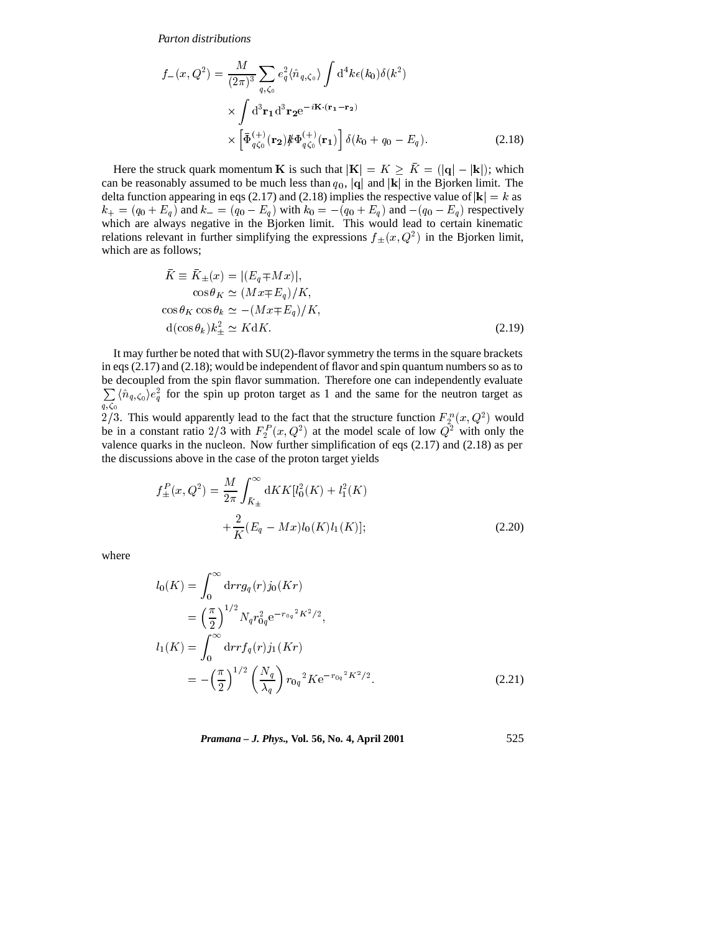$$
f_{-}(x, Q^{2}) = \frac{M}{(2\pi)^{3}} \sum_{q,\zeta_{0}} e_{q}^{2} \langle \hat{n}_{q,\zeta_{0}} \rangle \int d^{4}k \epsilon(k_{0}) \delta(k^{2})
$$
  
 
$$
\times \int d^{3} \mathbf{r}_{1} d^{3} \mathbf{r}_{2} e^{-i\mathbf{K} \cdot (\mathbf{r}_{1} - \mathbf{r}_{2})}
$$
  
 
$$
\times \left[ \bar{\Phi}_{q\zeta_{0}}^{(+)}(\mathbf{r}_{2}) \mathbf{\#} \Phi_{q\zeta_{0}}^{(+)}(\mathbf{r}_{1}) \right] \delta(k_{0} + q_{0} - E_{q}).
$$
 (2.18)

Here the struck quark momentum **K** is such that  $|\mathbf{K}| = K \geq \overline{K} = (|\mathbf{q}| - |\mathbf{k}|);$  which can be reasonably assumed to be much less than  $q_0$ , |q| and |k| in the Bjorken limit. The delta function appearing in eqs (2.17) and (2.18) implies the respective value of  $|k| = k$  as  $k_+ = (q_0 + E_q)$  and  $k_- = (q_0 - E_q)$  with  $k_0 = -(q_0 + E_q)$  and  $-(q_0 - E_q)$  respectively which are always negative in the Bjorken limit. This would lead to certain kinematic relations relevant in further simplifying the expressions  $f_{\pm}(x,Q^2)$  in the Bjorken limit, which are as follows;

$$
\bar{K} \equiv \bar{K}_{\pm}(x) = |(E_q \mp Mx)|,
$$
  
\n
$$
\cos \theta_K \simeq (Mx \mp E_q)/K,
$$
  
\n
$$
\cos \theta_K \cos \theta_k \simeq -(Mx \mp E_q)/K,
$$
  
\n
$$
d(\cos \theta_k)k_+^2 \simeq KdK.
$$
\n(2.19)

It may further be noted that with SU(2)-flavor symmetry the terms in the square brackets in eqs  $(2.17)$  and  $(2.18)$ ; would be independent of flavor and spin quantum numbers so as to be decoupled from the spin flavor summation. Therefore one can independently evaluate  $\sum_{q,\zeta_0} \langle \hat{n}_{q,\zeta_0} \rangle e_q^2$  for the spin up proton target as 1 and the same for the neutron target as

2/3. This would apparently lead to the fact that the structure function  $F_2^n(x,Q^2)$  would be in a constant ratio 2/3 with  $F_2^P(x, Q^2)$  at the model scale of low  $Q^2$  with only the valence quarks in the nucleon. Now further simplification of eqs (2.17) and (2.18) as per the discussions above in the case of the proton target yields

$$
f_{\pm}^{P}(x, Q^{2}) = \frac{M}{2\pi} \int_{\bar{K}_{\pm}}^{\infty} dK K[l_{0}^{2}(K) + l_{1}^{2}(K) + \frac{2}{K}(E_{q} - Mx)l_{0}(K)l_{1}(K)];
$$
\n(2.20)

where

$$
l_0(K) = \int_0^\infty dr r g_q(r) j_0(Kr)
$$
  
=  $\left(\frac{\pi}{2}\right)^{1/2} N_q r_{0q}^2 e^{-r_{0q}^2 K^2/2},$   

$$
l_1(K) = \int_0^\infty dr r f_q(r) j_1(Kr)
$$
  
=  $-\left(\frac{\pi}{2}\right)^{1/2} \left(\frac{N_q}{\lambda_q}\right) r_{0q}^2 K e^{-r_{0q}^2 K^2/2}.$  (2.21)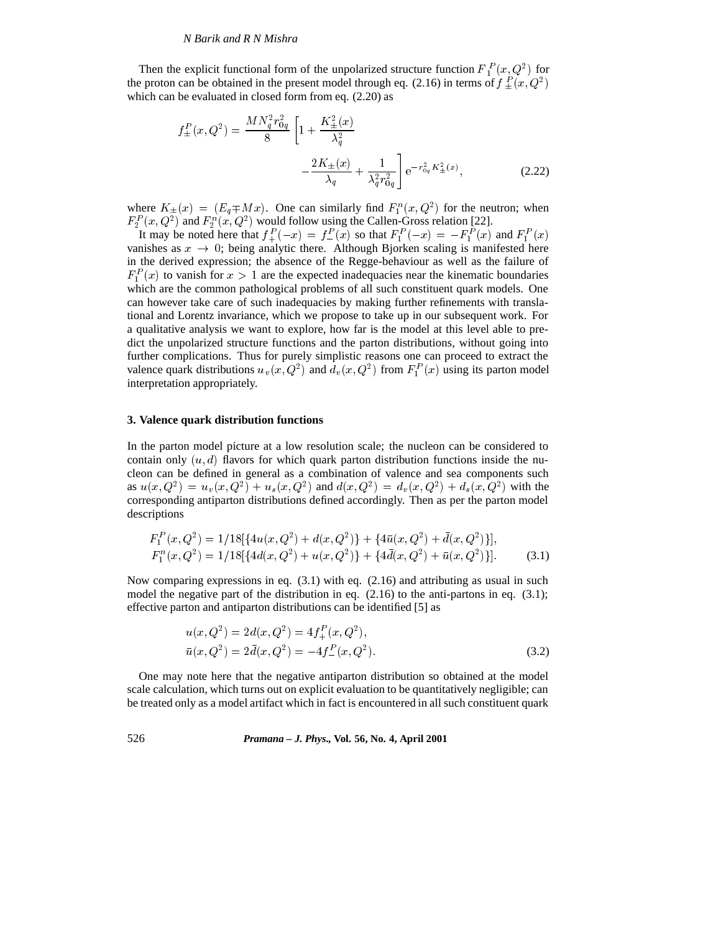Then the explicit functional form of the unpolarized structure function  $F_1^P(x,Q^2)$  for the proton can be obtained in the present model through eq. (2.16) in terms of  $f^P_+(x,Q^2)$ which can be evaluated in closed form from eq.  $(2.20)$  as

$$
f_{\pm}^{P}(x, Q^{2}) = \frac{MN_{q}^{2}r_{0q}^{2}}{8} \left[1 + \frac{K_{\pm}^{2}(x)}{\lambda_{q}^{2}} - \frac{2K_{\pm}(x)}{\lambda_{q}} + \frac{1}{\lambda_{q}^{2}r_{0q}^{2}}\right] e^{-r_{0q}^{2}K_{\pm}^{2}(x)},
$$
\n(2.22)

where  $K_{\pm}(x) = (E_q \mp Mx)$ . One can similarly find  $F_1^n(x, Q^2)$  for the neutron; when  $F_2^P(x,Q^2)$  and  $F_2^n(x,Q^2)$  would follow using the Callen-Gross relation [22].

It may be noted here that  $f_+^P(-x) = f_-^P(x)$  so that  $F_1^P(-x) = -F_1^P(x)$  and  $F_1^P(x)$  vanishes as  $x \to 0$ ; being analytic there. Although Bjorken scaling is manifested here in the derived expression; the absence of the Regge-behaviour as well as the failure of  $F_1^P(x)$  to vanish for  $x > 1$  are the expected inadequacies near the kinematic boundaries which are the common pathological problems of all such constituent quark models. One can however take care of such inadequacies by making further refinements with translational and Lorentz invariance, which we propose to take up in our subsequent work. For a qualitative analysis we want to explore, how far is the model at this level able to predict the unpolarized structure functions and the parton distributions, without going into further complications. Thus for purely simplistic reasons one can proceed to extract the valence quark distributions  $u_v(x, Q^2)$  and  $d_v(x, Q^2)$  from  $F_1^P(x)$  using its parton model interpretation appropriately.

### **3. Valence quark distribution functions**

In the parton model picture at a low resolution scale; the nucleon can be considered to contain only  $(u, d)$  flavors for which quark parton distribution functions inside the nucleon can be defined in general as a combination of valence and sea components such as  $u(x,Q^2) = u_v(x,Q^2) + u_s(x,Q^2)$  and  $d(x,Q^2) = d_v(x,Q^2) + d_s(x,Q^2)$  with the corresponding antiparton distributions defined accordingly. Then as per the parton model descriptions

$$
F_1^P(x, Q^2) = 1/18[\{4u(x, Q^2) + d(x, Q^2)\} + \{4\bar{u}(x, Q^2) + \bar{d}(x, Q^2)\}],
$$
  
\n
$$
F_1^n(x, Q^2) = 1/18[\{4d(x, Q^2) + u(x, Q^2)\} + \{4\bar{d}(x, Q^2) + \bar{u}(x, Q^2)\}].
$$
\n(3.1)

Now comparing expressions in eq. (3.1) with eq. (2.16) and attributing as usual in such model the negative part of the distribution in eq.  $(2.16)$  to the anti-partons in eq.  $(3.1)$ ; effective parton and antiparton distributions can be identified [5] as

$$
u(x, Q2) = 2d(x, Q2) = 4f+P(x, Q2),
$$
  
\n
$$
\bar{u}(x, Q2) = 2\bar{d}(x, Q2) = -4f-P(x, Q2).
$$
\n(3.2)

One may note here that the negative antiparton distribution so obtained at the model scale calculation, which turns out on explicit evaluation to be quantitatively negligible; can be treated only as a model artifact which in fact is encountered in all such constituent quark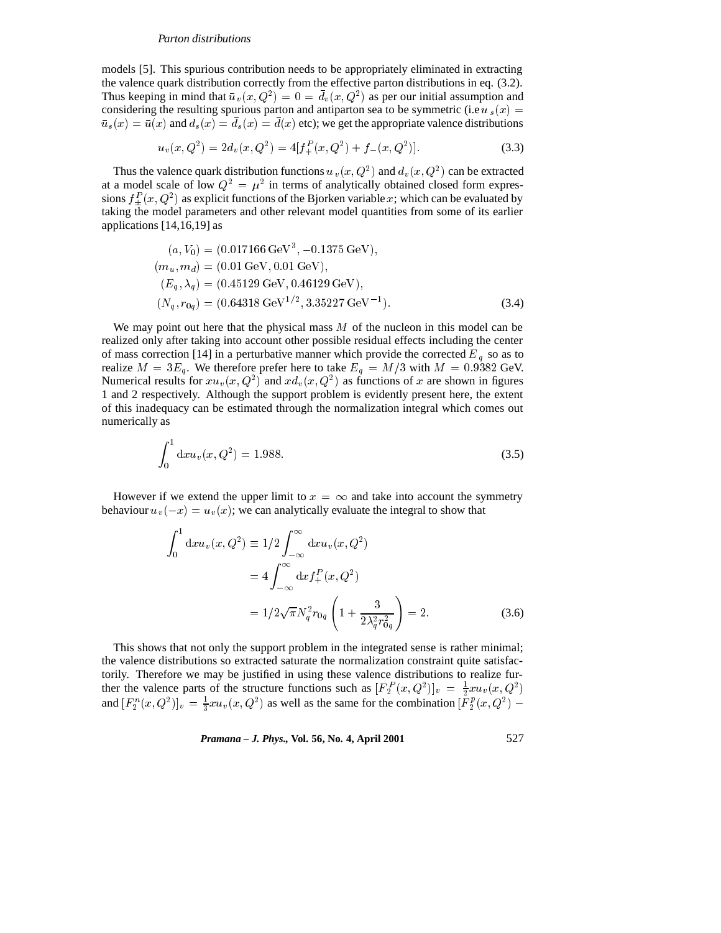models [5]. This spurious contribution needs to be appropriately eliminated in extracting the valence quark distribution correctly from the effective parton distributions in eq. (3.2). Thus keeping in mind that  $\bar{u}_v(x, Q^2) = 0 = d_v(x, Q^2)$  as per our initial assumption and considering the resulting spurious parton and antiparton sea to be symmetric (i.e  $u_s(x) =$  $\bar{u}_s(x)=\bar{u}(x)$  and  $d_s(x)=\bar{d}_s(x)=\bar{d}(x)$  etc); we get the appropriate valence distributions

$$
u_v(x, Q^2) = 2d_v(x, Q^2) = 4[f_+^P(x, Q^2) + f_-(x, Q^2)].
$$
\n(3.3)

Thus the valence quark distribution functions  $u_y(x,Q^2)$  and  $d_y(x,Q^2)$  can be extracted at a model scale of low  $Q^2 = \mu^2$  in terms of analytically obtained closed form expressions  $f_+^P(x,Q^2)$  as explicit functions of the Bjorken variable x; which can be evaluated by taking the model parameters and other relevant model quantities from some of its earlier applications [14,16,19] as

$$
(a, V_0) = (0.017166 \text{ GeV}^3, -0.1375 \text{ GeV}),(m_u, m_d) = (0.01 \text{ GeV}, 0.01 \text{ GeV}),(E_q, \lambda_q) = (0.45129 \text{ GeV}, 0.46129 \text{ GeV}),(N_q, r_{0q}) = (0.64318 \text{ GeV}^{1/2}, 3.35227 \text{ GeV}^{-1}).
$$
\n(3.4)

We may point out here that the physical mass  $M$  of the nucleon in this model can be realized only after taking into account other possible residual effects including the center of mass correction [14] in a perturbative manner which provide the corrected  $E_q$  so as to realize  $M = 3E_q$ . We therefore prefer here to take  $E_q = M/3$  with  $M = 0.9382$  GeV. Numerical results for  $xu_y(x,Q^2)$  and  $xd_y(x,Q^2)$  as functions of x are shown in figures 1 and 2 respectively. Although the support problem is evidently present here, the extent of this inadequacy can be estimated through the normalization integral which comes out numerically as

$$
\int_0^1 dx u_v(x, Q^2) = 1.988. \tag{3.5}
$$

However if we extend the upper limit to  $x = \infty$  and take into account the symmetry behaviour  $u_v (-x) = u_v (x)$ ; we can analytically evaluate the integral to show that

$$
\int_0^1 dx u_v(x, Q^2) \equiv 1/2 \int_{-\infty}^\infty dx u_v(x, Q^2)
$$
  
=  $4 \int_{-\infty}^\infty dx f_+^P(x, Q^2)$   
=  $1/2 \sqrt{\pi} N_q^2 r_{0q} \left(1 + \frac{3}{2\lambda_q^2 r_{0q}^2}\right) = 2.$  (3.6)

This shows that not only the support problem in the integrated sense is rather minimal; the valence distributions so extracted saturate the normalization constraint quite satisfactorily. Therefore we may be justified in using these valence distributions to realize further the valence parts of the structure functions such as  $[F_2^P(x,Q^2)]_v = \frac{1}{2} x u_v(x,Q^2)$ and  $[F_2^n(x,Q^2)]_v = \frac{1}{3}xu_v(x,Q^2)$  as well as the same for the combination  $[F_2^p(x,Q^2) -$ 

*Pramana – J. Phys.,* **Vol. 56, No. 4, April 2001** 527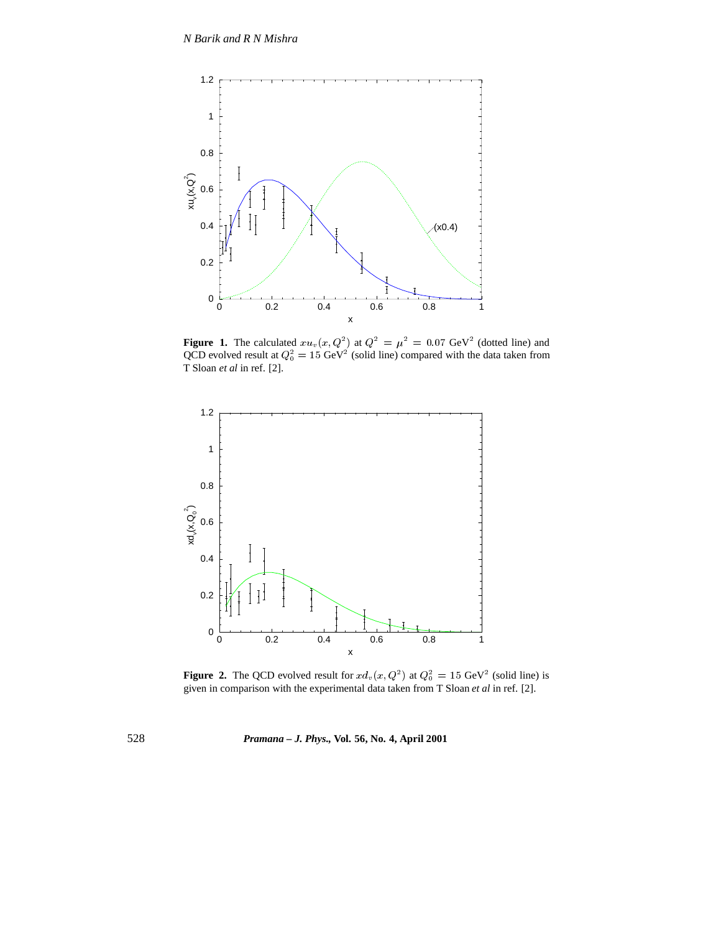

**Figure 1.** The calculated  $xu_v(x,Q^2)$  at  $Q^2 = \mu^2 = 0.07$  GeV<sup>2</sup> (dotted line) and QCD evolved result at  $Q_0^2 = 15 \text{ GeV}^2$  (solid line) compared with the data taken from T Sloan *et al* in ref. [2].



**Figure 2.** The QCD evolved result for  $x d_v(x, Q^2)$  at  $Q_0^2 = 15 \text{ GeV}^2$  (solid line) is given in comparison with the experimental data taken from T Sloan *et al* in ref. [2].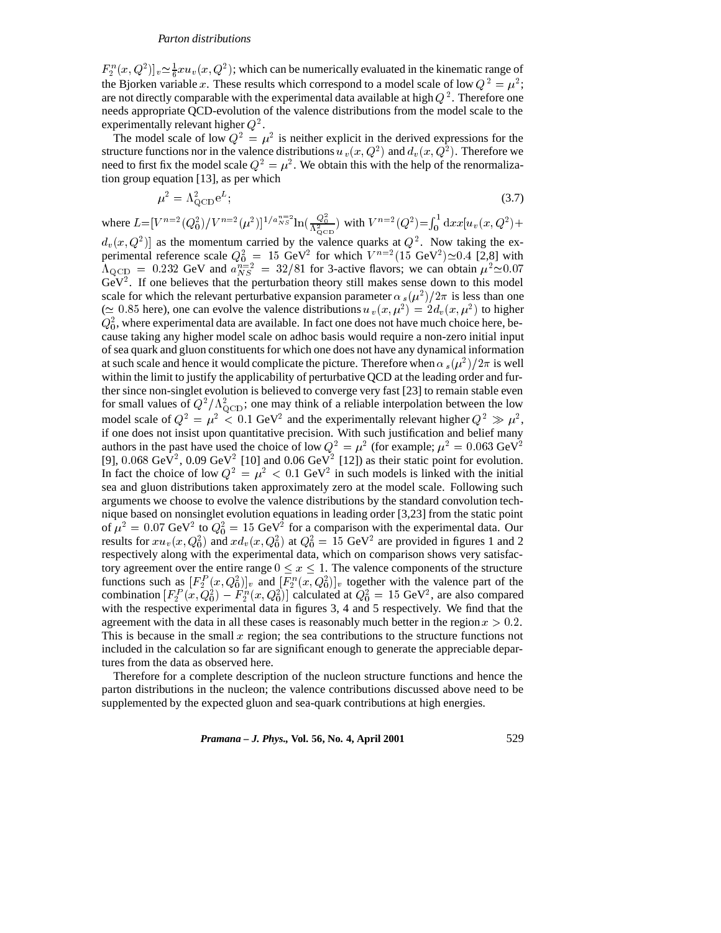$F_2^n(x,Q^2)]_v \simeq \frac{1}{6} x u_v(x,Q^2)$ ; which can be numerically evaluated in the kinematic range of the Bjorken variable x. These results which correspond to a model scale of low  $Q^2 = \mu^2$ ; are not directly comparable with the experimental data available at high  $Q^2$ . Therefore one needs appropriate QCD-evolution of the valence distributions from the model scale to the experimentally relevant higher  $Q^2$ .

The model scale of low  $Q^2 = \mu^2$  is neither explicit in the derived expressions for the structure functions nor in the valence distributions  $u_y(x, Q^2)$  and  $d_y(x, Q^2)$ . Therefore we need to first fix the model scale  $Q^2 = \mu^2$ . We obtain this with the help of the renormalization group equation [13], as per which

$$
\mu^2 = \Lambda_{\text{QCD}}^2 e^L; \tag{3.7}
$$

where  $L=[V^{n=2}(Q_0^2)/V^{n=2}(\mu^2)]^{1/a_{NS}^{n=2}}\ln(\frac{Q_0^2}{\Lambda_{\text{QCD}}^2})$  with  $V^{n=2}(Q^2) = \int_0^1 dx x[u_v(x,Q^2)+$  $d_v(x,Q^2)$  as the momentum carried by the valence quarks at  $Q^2$ . Now taking the experimental reference scale  $Q_0^2 = 15 \text{ GeV}^2$  for which  $V^{n=2}(15 \text{ GeV}^2)\approx 0.4$  [2,8] with  $\Lambda_{\rm QCD} = 0.232$  GeV and  $a_{NS}^{n=2} = 32/81$  for 3-active flavors; we can obtain  $\mu^2 \approx 0.07$  $GeV<sup>2</sup>$ . If one believes that the perturbation theory still makes sense down to this model scale for which the relevant perturbative expansion parameter  $\alpha_s(\mu^2)/2\pi$  is less than one ( $\simeq 0.85$  here), one can evolve the valence distributions  $u_v(x, \mu^2) = 2d_v(x, \mu^2)$  to higher  $Q_0^2$ , where experimental data are available. In fact one does not have much choice here, because taking any higher model scale on adhoc basis would require a non-zero initial input of sea quark and gluon constituents for which one does not have any dynamical information at such scale and hence it would complicate the picture. Therefore when  $\alpha_s(\mu^2)/2\pi$  is well within the limit to justify the applicability of perturbative QCD at the leading order and further since non-singlet evolution is believed to converge very fast [23] to remain stable even for small values of  $Q^2/\Lambda_{\text{QCD}}^2$ ; one may think of a reliable interpolation between the low

model scale of  $Q^2 = \mu^2 < 0.1$  GeV<sup>2</sup> and the experimentally relevant higher  $Q^2 \gg \mu^2$ , if one does not insist upon quantitative precision. With such justification and belief many authors in the past have used the choice of low  $Q^2 = \mu^2$  (for example;  $\mu^2 = 0.063$  GeV<sup>2</sup> [9],  $0.068 \text{ GeV}^2$ ,  $0.09 \text{ GeV}^2$  [10] and  $0.06 \text{ GeV}^2$  [12]) as their static point for evolution. In fact the choice of low  $Q^2 = \mu^2 < 0.1$  GeV<sup>2</sup> in such models is linked with the initial sea and gluon distributions taken approximately zero at the model scale. Following such arguments we choose to evolve the valence distributions by the standard convolution technique based on nonsinglet evolution equations in leading order [3,23] from the static point of  $\mu^2 = 0.07$  GeV<sup>2</sup> to  $Q_0^2 = 15$  GeV<sup>2</sup> for a comparison with the experimental data. Our results for  $xu_y(x,Q_0^2)$  and  $xd_y(x,Q_0^2)$  at  $Q_0^2 = 15$  GeV<sup>2</sup> are provided in figures 1 and 2 respectively along with the experimental data, which on comparison shows very satisfactory agreement over the entire range  $0 < x < 1$ . The valence components of the structure functions such as  $[F_2^P(x,Q_0^2)]_v$  and  $[F_2^n(x,Q_0^2)]_v$  together with the valence part of the combination  $[F_2^P(x,Q_0^2) - F_2^n(x,Q_0^2)]$  calculated at  $Q_0^2 = 15$  GeV<sup>2</sup>, are also compared with the respective experimental data in figures 3, 4 and 5 respectively. We find that the agreement with the data in all these cases is reasonably much better in the region  $x > 0.2$ . This is because in the small  $x$  region; the sea contributions to the structure functions not included in the calculation so far are significant enough to generate the appreciable departures from the data as observed here.

Therefore for a complete description of the nucleon structure functions and hence the parton distributions in the nucleon; the valence contributions discussed above need to be supplemented by the expected gluon and sea-quark contributions at high energies.

*Pramana – J. Phys.,* **Vol. 56, No. 4, April 2001** 529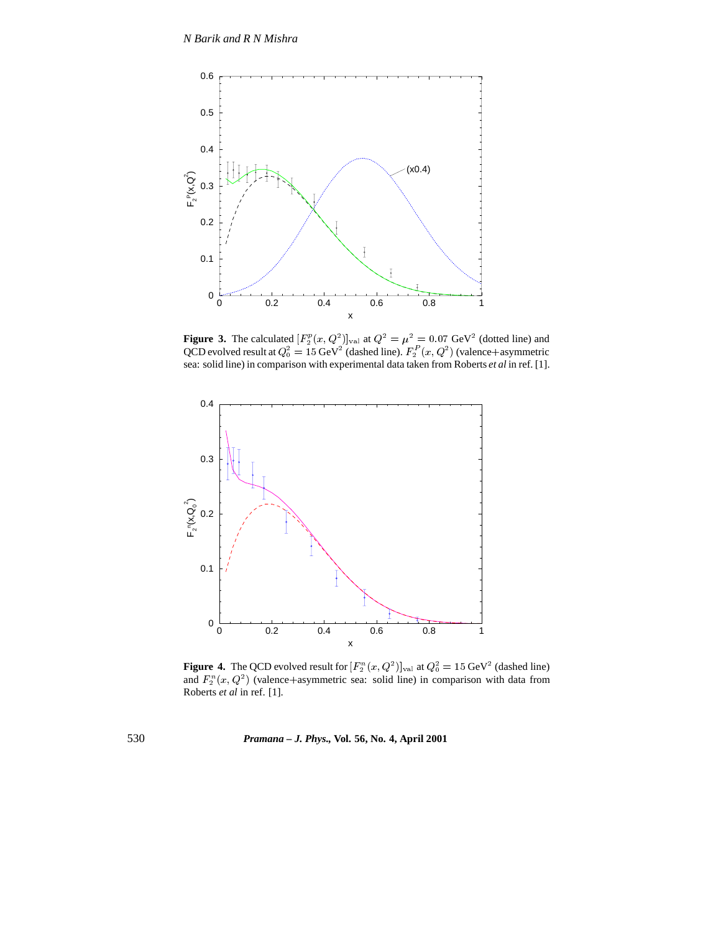

**Figure 3.** The calculated  $[F_2^p(x, Q^2)]_{\text{val}}$  at  $Q^2 = \mu^2 = 0.07 \text{ GeV}^2$  (dotted line) and QCD evolved result at  $Q_0^2 = 15 \text{ GeV}^2$  (dashed line).  $F_2^P(x,Q^2)$  (valence+asymmetric sea: solid line) in comparison with experimental data taken from Roberts *et al* in ref. [1].



**Figure 4.** The QCD evolved result for  $[F_2^n(x, Q^2)]_{\text{val}}$  at  $Q_0^2 = 15 \text{ GeV}^2$  (dashed line) and  $F_2^n(x,Q^2)$  (valence+asymmetric sea: solid line) in comparison with data from Roberts *et al* in ref. [1].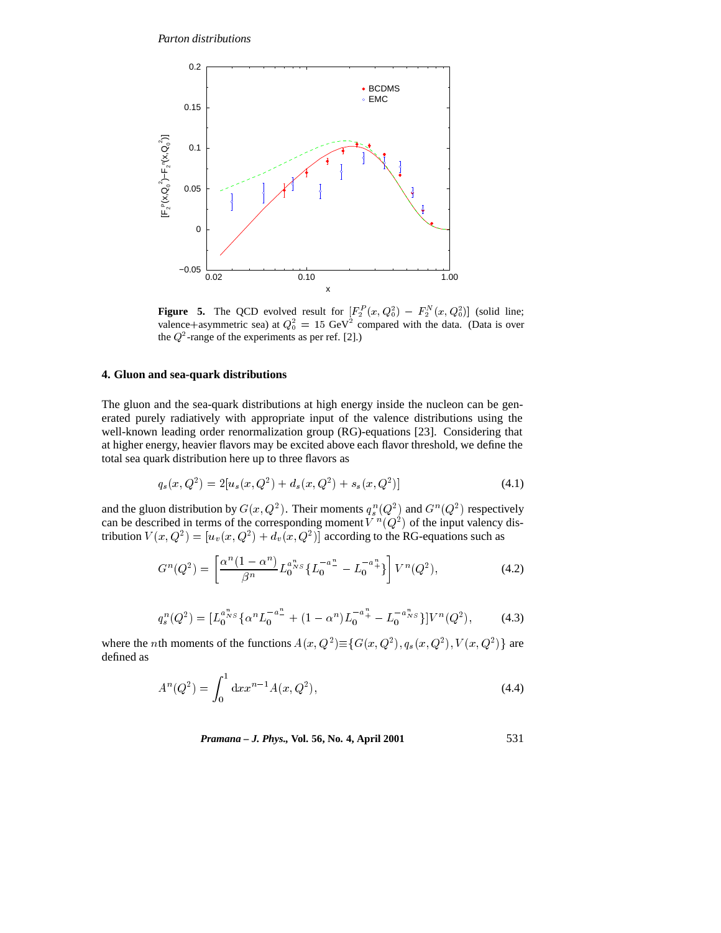

**Figure 5.** The QCD evolved result for  $[F_2^P(x,Q_0^2) - F_2^N(x,Q_0^2)]$  (solid line; valence+asymmetric sea) at  $Q_0^2 = 15 \text{ GeV}^2$  compared with the data. (Data is over the  $Q^2$ -range of the experiments as per ref. [2].)

# **4. Gluon and sea-quark distributions**

The gluon and the sea-quark distributions at high energy inside the nucleon can be generated purely radiatively with appropriate input of the valence distributions using the well-known leading order renormalization group (RG)-equations [23]. Considering that at higher energy, heavier flavors may be excited above each flavor threshold, we define the total sea quark distribution here up to three flavors as

$$
q_s(x, Q^2) = 2[u_s(x, Q^2) + d_s(x, Q^2) + s_s(x, Q^2)]
$$
\n(4.1)

and the gluon distribution by  $G(x,Q^2)$ . Their moments  $q_s^n(Q^2)$  and  $G^n(Q^2)$  respectively can be described in terms of the corresponding moment  $V^{n}(Q^{2})$  of the input valency distribution  $V(x,Q^2) = [u_y(x,Q^2) + d_y(x,Q^2)]$  according to the RG-equations such as

$$
G^{n}(Q^{2}) = \left[\frac{\alpha^{n}(1-\alpha^{n})}{\beta^{n}}L_{0}^{a_{NS}^{n}}\left\{L_{0}^{-a_{\perp}^{n}} - L_{0}^{-a_{\perp}^{n}}\right\}\right]V^{n}(Q^{2}),\tag{4.2}
$$

$$
q_s^n(Q^2) = [L_0^{a_{NS}^n} {\alpha^n L_0^{-a_{-}^n} + (1 - \alpha^n)L_0^{-a_{+}^n} - L_0^{-a_{NS}^n}]V^n(Q^2), \qquad (4.3)
$$

where the *n*th moments of the functions  $A(x, Q^2) \equiv \{G(x, Q^2), q_s(x, Q^2), V(x, Q^2)\}\$  are defined as

$$
A^{n}(Q^{2}) = \int_{0}^{1} dx x^{n-1} A(x, Q^{2}), \qquad (4.4)
$$

*Pramana – J. Phys.,* **Vol. 56, No. 4, April 2001** 531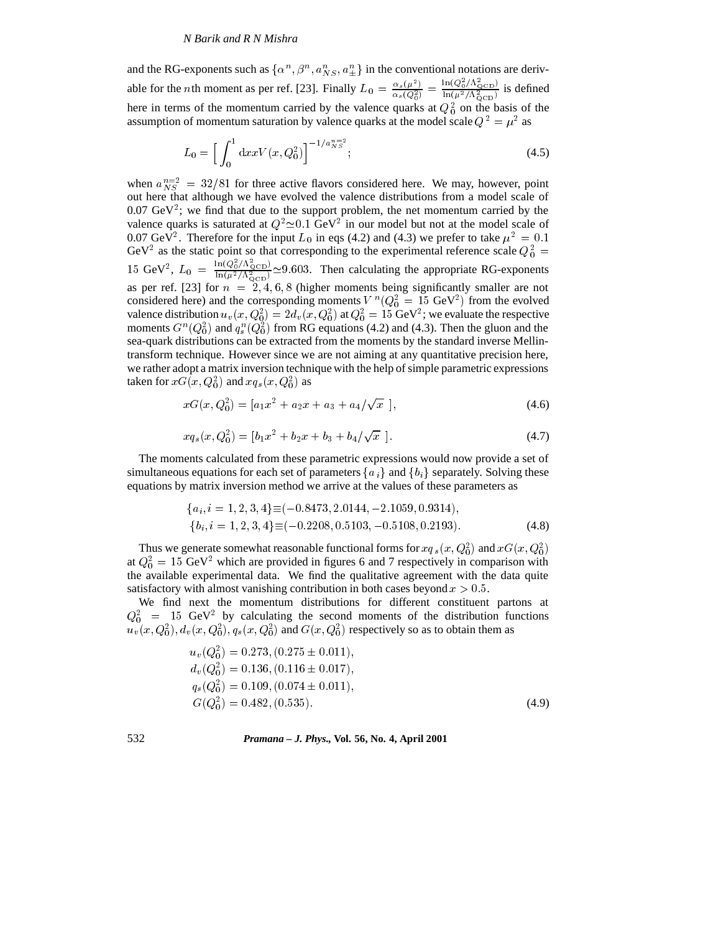and the RG-exponents such as  $\{\alpha^n, \beta^n, a_{NS}^n, a_{\pm}^n\}$  in the conventional notations are derivable for the *n*th moment as per ref. [23]. Finally  $L_0 = \frac{\alpha_s(\mu^2)}{\alpha_s(Q_0^2)} = \frac{\ln(Q_0/\Lambda_{\text{QCD}})}{\ln(\mu^2/\Lambda_{\text{QCD}}^2)}$  $\ln(Q_0/\Lambda_{\rm QCD})$  . 1.  $\frac{\ln(\frac{Q_0}{\Lambda_{\text{QCD}}}}{\ln(\mu^2/\Lambda_{\text{QCD}}^2)}$  is defined here in terms of the momentum carried by the valence quarks at  $Q_0^2$  on the basis of the assumption of momentum saturation by valence quarks at the model scale  $Q^2 = \mu^2$  as

$$
L_0 = \left[ \int_0^1 dx x V(x, Q_0^2) \right]^{-1/a_{NS}^{n=2}};
$$
\n(4.5)

when  $a_{NS}^{n=2} = 32/81$  for three active flavors considered here. We may, however, point out here that although we have evolved the valence distributions from a model scale of  $0.07 \text{ GeV}^2$ ; we find that due to the support problem, the net momentum carried by the valence quarks is saturated at  $Q^2 \approx 0.1$  GeV<sup>2</sup> in our model but not at the model scale of 0.07 GeV<sup>2</sup>. Therefore for the input  $L_0$  in eqs (4.2) and (4.3) we prefer to take  $\mu^2 = 0.1$ GeV<sup>2</sup> as the static point so that corresponding to the experimental reference scale  $Q_0^2 =$ 15 GeV<sup>2</sup>,  $L_0 = \frac{\ln(Q_0^2/\Lambda_{\text{QCD}}^2)}{\ln(\mu^2/\Lambda_{\text{QCD}}^2)}$   $\approx$  9.603. Then calculating the appropriate RG-exponents as per ref. [23] for  $n = 2, 4, 6, 8$  (higher moments being significantly smaller are not considered here) and the corresponding moments  $V^{n}(Q_0^2 = 15 \text{ GeV}^2)$  from the evolved valence distribution  $u_v(x,Q_0^2) = 2d_v(x,Q_0^2)$  at  $Q_0^2 = 15$  GeV<sup>2</sup>; we evaluate the respective moments  $G^n(Q_0^2)$  and  $q_s^n(Q_0^2)$  from RG equations (4.2) and (4.3). Then the gluon and the sea-quark distributions can be extracted from the moments by the standard inverse Mellintransform technique. However since we are not aiming at any quantitative precision here, we rather adopt a matrix inversion technique with the help of simple parametric expressions taken for  $xG(x,Q_0^2)$  and  $xq_s(x,Q_0^2)$  as

$$
xG(x, Q_0^2) = [a_1x^2 + a_2x + a_3 + a_4/\sqrt{x} ],
$$
\n(4.6)

$$
xq_s(x, Q_0^2) = [b_1x^2 + b_2x + b_3 + b_4/\sqrt{x}]. \tag{4.7}
$$

The moments calculated from these parametric expressions would now provide a set of simultaneous equations for each set of parameters  $\{a_i\}$  and  $\{b_i\}$  separately. Solving these equations by matrix inversion method we arrive at the values of these parameters as

$$
\{a_i, i = 1, 2, 3, 4\} \equiv (-0.8473, 2.0144, -2.1059, 0.9314),\n\{b_i, i = 1, 2, 3, 4\} \equiv (-0.2208, 0.5103, -0.5108, 0.2193).
$$
\n(4.8)

Thus we generate somewhat reasonable functional forms for  $xq_s(x,Q_0^2)$  and  $xG(x,Q_0^2)$ at  $Q_0^2 = 15$  GeV<sup>2</sup> which are provided in figures 6 and 7 respectively in comparison with the available experimental data. We find the qualitative agreement with the data quite satisfactory with almost vanishing contribution in both cases beyond  $x > 0.5$ .

We find next the momentum distributions for different constituent partons at  $Q_0^2$  = 15 GeV<sup>2</sup> by calculating the second moments of the distribution functions  $u_y(x,Q_0^2), d_y(x,Q_0^2), q_s(x,Q_0^2)$  and  $G(x,Q_0^2)$  respectively so as to obtain them as

$$
u_v(Q_0^2) = 0.273, (0.275 \pm 0.011),
$$
  
\n
$$
d_v(Q_0^2) = 0.136, (0.116 \pm 0.017),
$$
  
\n
$$
q_s(Q_0^2) = 0.109, (0.074 \pm 0.011),
$$
  
\n
$$
G(Q_0^2) = 0.482, (0.535).
$$
\n(4.9)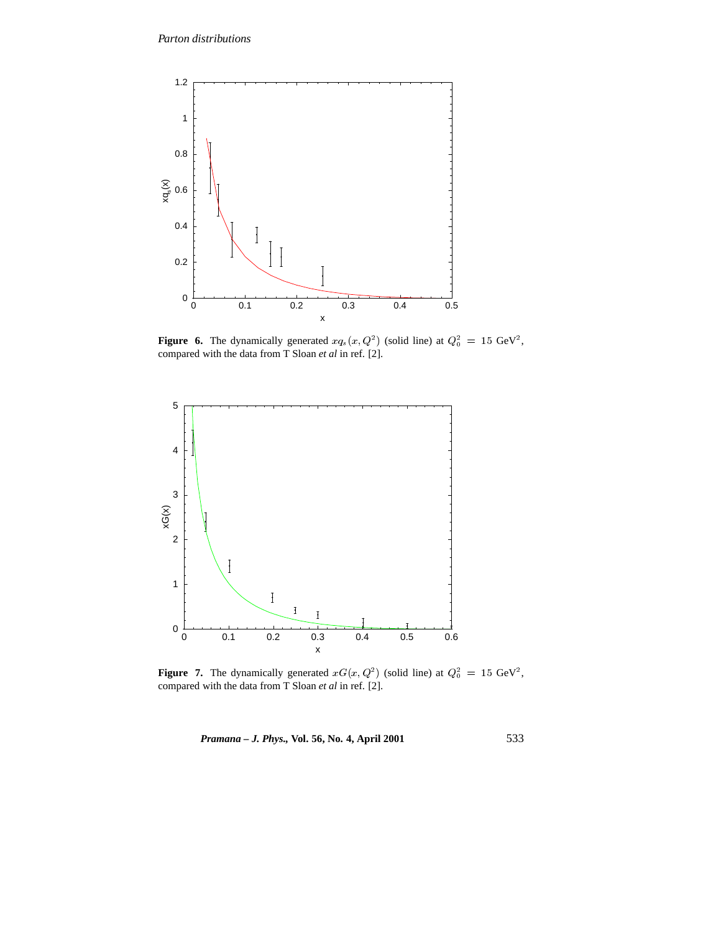

**Figure 6.** The dynamically generated  $xq_s(x, Q^2)$  (solid line) at  $Q_0^2 = 15 \text{ GeV}^2$ , compared with the data from T Sloan *et al* in ref. [2].



**Figure 7.** The dynamically generated  $xG(x, Q^2)$  (solid line) at  $Q_0^2 = 15 \text{ GeV}^2$ , compared with the data from T Sloan *et al* in ref. [2].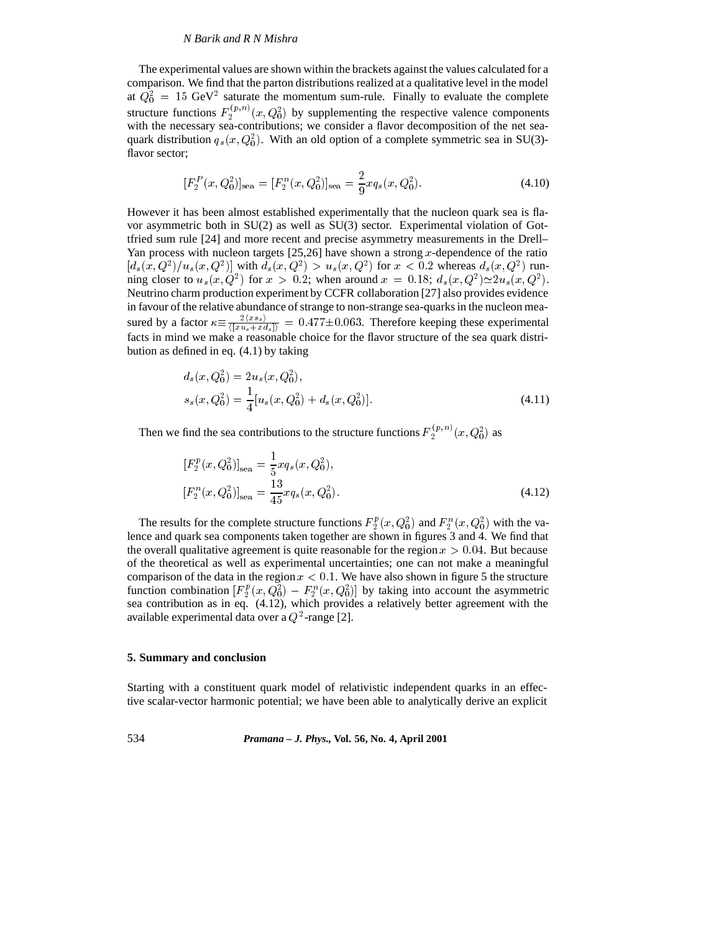The experimental values are shown within the brackets against the values calculated for a comparison. We find that the parton distributions realized at a qualitative level in the model at  $Q_0^2 = 15 \text{ GeV}^2$  saturate the momentum sum-rule. Finally to evaluate the complete structure functions  $F_2^{(p,n)}(x,Q_0^2)$  by supplementing the respective valence components with the necessary sea-contributions; we consider a flavor decomposition of the net seaquark distribution  $q_s(x, Q_0^2)$ . With an old option of a complete symmetric sea in SU(3)flavor sector;

$$
[F_2^P(x, Q_0^2)]_{\text{sea}} = [F_2^n(x, Q_0^2)]_{\text{sea}} = \frac{2}{9} x q_s(x, Q_0^2).
$$
 (4.10)

However it has been almost established experimentally that the nucleon quark sea is flavor asymmetric both in SU(2) as well as SU(3) sector. Experimental violation of Gottfried sum rule [24] and more recent and precise asymmetry measurements in the Drell– Yan process with nucleon targets  $[25,26]$  have shown a strong x-dependence of the ratio  $[d_s(x, Q^2)/u_s(x, Q^2)]$  with  $d_s(x, Q^2) > u_s(x, Q^2)$  for  $x < 0.2$  whereas  $d_s(x, Q^2)$  running closer to  $u_s(x, Q^2)$  for  $x > 0.2$ ; when around  $x = 0.18$ ;  $d_s(x, Q^2) \approx 2u_s(x, Q^2)$ . Neutrino charm production experiment by CCFR collaboration [27] also provides evidence in favour of the relative abundance of strange to non-strange sea-quarks in the nucleon measured by a factor  $\kappa \equiv \frac{2\langle x s_s \rangle}{\langle |x u_s + x d_s| \rangle} = 0.477 \pm 0.063$ . Therefore keeping these experimental facts in mind we make a reasonable choice for the flavor structure of the sea quark distribution as defined in eq. (4.1) by taking

$$
d_s(x, Q_0^2) = 2u_s(x, Q_0^2),
$$
  
\n
$$
s_s(x, Q_0^2) = \frac{1}{4} [u_s(x, Q_0^2) + d_s(x, Q_0^2)].
$$
\n(4.11)

Then we find the sea contributions to the structure functions  $F_2^{(p,n)}(x,Q_0^2)$  as

$$
[F_2^p(x, Q_0^2)]_{\text{sea}} = \frac{1}{5} x q_s(x, Q_0^2),
$$
  

$$
[F_2^n(x, Q_0^2)]_{\text{sea}} = \frac{13}{45} x q_s(x, Q_0^2).
$$
 (4.12)

The results for the complete structure functions  $F_2^p(x,Q_0^2)$  and  $F_2^n(x,Q_0^2)$  with the valence and quark sea components taken together are shown in figures 3 and 4. We find that the overall qualitative agreement is quite reasonable for the region  $x > 0.04$ . But because of the theoretical as well as experimental uncertainties; one can not make a meaningful comparison of the data in the region  $x < 0.1$ . We have also shown in figure 5 the structure function combination  $[F_2^p(x,Q_0^2) - F_2^n(x,Q_0^2)]$  by taking into account the asymmetric sea contribution as in eq. (4.12), which provides a relatively better agreement with the available experimental data over a  $Q^2$ -range [2].

#### **5. Summary and conclusion**

Starting with a constituent quark model of relativistic independent quarks in an effective scalar-vector harmonic potential; we have been able to analytically derive an explicit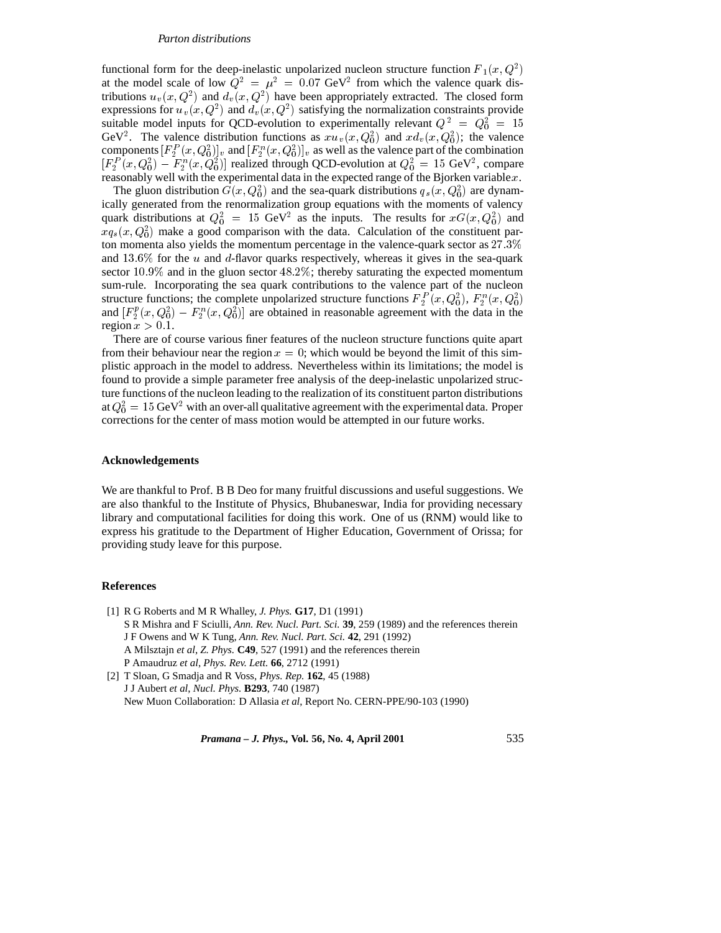functional form for the deep-inelastic unpolarized nucleon structure function  $F_1(x,Q^2)$ at the model scale of low  $Q^2 = \mu^2 = 0.07$  GeV<sup>2</sup> from which the valence quark distributions  $u_v(x, Q^2)$  and  $d_v(x, Q^2)$  have been appropriately extracted. The closed form expressions for  $u_v(x, Q^2)$  and  $d_v(x, Q^2)$  satisfying the normalization constraints provide suitable model inputs for QCD-evolution to experimentally relevant  $Q^2 = Q_0^2 = 15$ GeV<sup>2</sup>. The valence distribution functions as  $x u_v(x, Q_0^2)$  and  $x d_v(x, Q_0^2)$ ; the valence components  $[F_2^P(x,Q_0^2)]_v$  and  $[F_2^n(x,Q_0^2)]_v$  as well as the valence part of the combination  $[F_2^P(x,Q_0^2) - F_2^n(x,Q_0^2)]$  realized through QCD-evolution at  $Q_0^2 = 15$  GeV<sup>2</sup>, compare reasonably well with the experimental data in the expected range of the Bjorken variable x.

The gluon distribution  $G(x,Q_0^2)$  and the sea-quark distributions  $q_s(x,Q_0^2)$  are dynamically generated from the renormalization group equations with the moments of valency quark distributions at  $Q_0^2 = 15 \text{ GeV}^2$  as the inputs. The results for  $xG(x,Q_0^2)$  and  $xq_s(x,Q_0^2)$  make a good comparison with the data. Calculation of the constituent parton momenta also yields the momentum percentage in the valence-quark sector as 27:3% and  $13.6\%$  for the u and d-flavor quarks respectively, whereas it gives in the sea-quark sector 10:9% and in the gluon sector 48:2%; thereby saturating the expected momentum sum-rule. Incorporating the sea quark contributions to the valence part of the nucleon structure functions; the complete unpolarized structure functions  $F_2^P(x,Q_0^2), F_2^n(x,Q_0^2)$ and  $[F_2^p(x,Q_0^2) - F_2^n(x,Q_0^2)]$  are obtained in reasonable agreement with the data in the region  $x > 0.1$ .

There are of course various finer features of the nucleon structure functions quite apart from their behaviour near the region  $x = 0$ ; which would be beyond the limit of this simplistic approach in the model to address. Nevertheless within its limitations; the model is found to provide a simple parameter free analysis of the deep-inelastic unpolarized structure functions of the nucleon leading to the realization of its constituent parton distributions at  $Q_0^2 = 15$  GeV<sup>2</sup> with an over-all qualitative agreement with the experimental data. Proper corrections for the center of mass motion would be attempted in our future works.

# **Acknowledgements**

We are thankful to Prof. B B Deo for many fruitful discussions and useful suggestions. We are also thankful to the Institute of Physics, Bhubaneswar, India for providing necessary library and computational facilities for doing this work. One of us (RNM) would like to express his gratitude to the Department of Higher Education, Government of Orissa; for providing study leave for this purpose.

#### **References**

[1] R G Roberts and M R Whalley, *J. Phys.* **G17**, D1 (1991) S R Mishra and F Sciulli, *Ann. Rev. Nucl. Part. Sci.* **39**, 259 (1989) and the references therein J F Owens and W K Tung, *Ann. Rev. Nucl. Part. Sci.* **42**, 291 (1992) A Milsztajn *et al*, *Z. Phys.* **C49**, 527 (1991) and the references therein P Amaudruz *et al*, *Phys. Rev. Lett.* **66**, 2712 (1991)

[2] T Sloan, G Smadja and R Voss, *Phys. Rep.* **162**, 45 (1988) J J Aubert *et al*, *Nucl. Phys.* **B293**, 740 (1987) New Muon Collaboration: D Allasia *et al*, Report No. CERN-PPE/90-103 (1990)